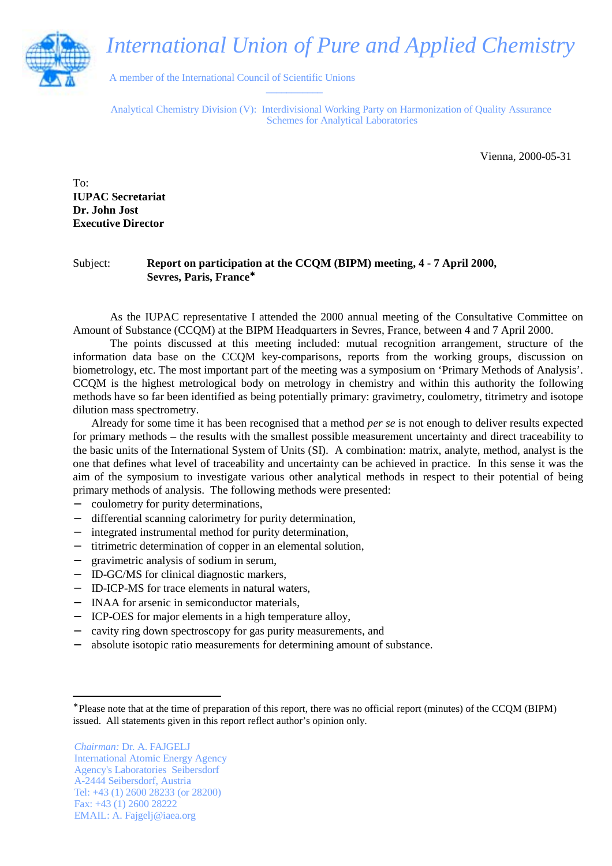## *International Union of Pure and Applied Chemistry*



 A member of the International Council of Scientific Unions  $\frac{1}{2}$  ,  $\frac{1}{2}$  ,  $\frac{1}{2}$  ,  $\frac{1}{2}$  ,  $\frac{1}{2}$  ,  $\frac{1}{2}$  ,  $\frac{1}{2}$ 

Analytical Chemistry Division (V): Interdivisional Working Party on Harmonization of Quality Assurance Schemes for Analytical Laboratories

Vienna, 2000-05-31

 $To^{\dagger}$ **IUPAC Secretariat Dr. John Jost Executive Director**

## Subject: **Report on participation at the CCQM (BIPM) meeting, 4 - 7 April 2000, Sevres, Paris, France**<sup>∗</sup>

As the IUPAC representative I attended the 2000 annual meeting of the Consultative Committee on Amount of Substance (CCQM) at the BIPM Headquarters in Sevres, France, between 4 and 7 April 2000.

The points discussed at this meeting included: mutual recognition arrangement, structure of the information data base on the CCQM key-comparisons, reports from the working groups, discussion on biometrology, etc. The most important part of the meeting was a symposium on 'Primary Methods of Analysis'. CCQM is the highest metrological body on metrology in chemistry and within this authority the following methods have so far been identified as being potentially primary: gravimetry, coulometry, titrimetry and isotope dilution mass spectrometry.

Already for some time it has been recognised that a method *per se* is not enough to deliver results expected for primary methods – the results with the smallest possible measurement uncertainty and direct traceability to the basic units of the International System of Units (SI). A combination: matrix, analyte, method, analyst is the one that defines what level of traceability and uncertainty can be achieved in practice. In this sense it was the aim of the symposium to investigate various other analytical methods in respect to their potential of being primary methods of analysis. The following methods were presented:

- − coulometry for purity determinations,
- differential scanning calorimetry for purity determination,
- − integrated instrumental method for purity determination,
- − titrimetric determination of copper in an elemental solution,
- − gravimetric analysis of sodium in serum,
- − ID-GC/MS for clinical diagnostic markers,
- − ID-ICP-MS for trace elements in natural waters,
- − INAA for arsenic in semiconductor materials,
- − ICP-OES for major elements in a high temperature alloy,
- − cavity ring down spectroscopy for gas purity measurements, and
- absolute isotopic ratio measurements for determining amount of substance.

*Chairman:* Dr. A. FAJGELJ International Atomic Energy Agency Agency's Laboratories Seibersdorf A-2444 Seibersdorf, Austria Tel: +43 (1) 2600 28233 (or 28200) Fax: +43 (1) 2600 28222 EMAIL: A. Fajgelj@iaea.org

<sup>∗</sup> Please note that at the time of preparation of this report, there was no official report (minutes) of the CCQM (BIPM) issued. All statements given in this report reflect author's opinion only.